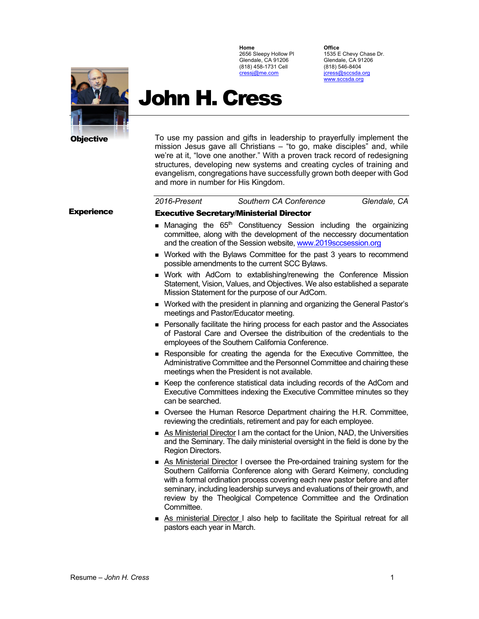

**Office**

1535 E Chevy Chase Dr. Glendale, CA 91206 (818) 546-8404 jcress@sccsda.org www.sccsda.org



# John H. Cress

To use my passion and gifts in leadership to prayerfully implement the mission Jesus gave all Christians – "to go, make disciples" and, while we're at it, "love one another." With a proven track record of redesigning structures, developing new systems and creating cycles of training and evangelism, congregations have successfully grown both deeper with God and more in number for His Kingdom.

| 2016-Present | Southern CA Conference | Glendale, CA |
|--------------|------------------------|--------------|
|              |                        |              |

# Executive Secretary/Ministerial Director

- **n** Managing the  $65<sup>th</sup>$  Constituency Session including the orgainizing committee, along with the development of the neccessry documentation and the creation of the Session website, www.2019sccsession.org
- **Norked with the Bylaws Committee for the past 3 years to recommend** possible amendments to the current SCC Bylaws.
- **Nork with AdCom to extablishing/renewing the Conference Mission** Statement, Vision, Values, and Objectives. We also established a separate Mission Statement for the purpose of our AdCom.
- **Norked with the president in planning and organizing the General Pastor's** meetings and Pastor/Educator meeting.
- **Personally facilitate the hiring process for each pastor and the Associates** of Pastoral Care and Oversee the distribuition of the credentials to the employees of the Southern California Conference.
- <sup>n</sup> Responsible for creating the agenda for the Executive Committee, the Administrative Committee and the Personnel Committee and chairing these meetings when the President is not available.
- <sup>n</sup> Keep the conference statistical data including records of the AdCom and Executive Committees indexing the Executive Committee minutes so they can be searched.
- <sup>n</sup> Oversee the Human Resorce Department chairing the H.R. Committee, reviewing the credintials, retirement and pay for each employee.
- <sup>n</sup> As Ministerial Director I am the contact for the Union, NAD, the Universities and the Seminary. The daily ministerial oversight in the field is done by the Region Directors.
- <sup>n</sup> As Ministerial Director I oversee the Pre-ordained training system for the Southern California Conference along with Gerard Keimeny, concluding with a formal ordination process covering each new pastor before and after seminary, including leadership surveys and evaluations of their growth, and review by the Theolgical Competence Committee and the Ordination Committee.
- <sup>n</sup> As ministerial Director I also help to facilitate the Spiritual retreat for all pastors each year in March.

# **Experience**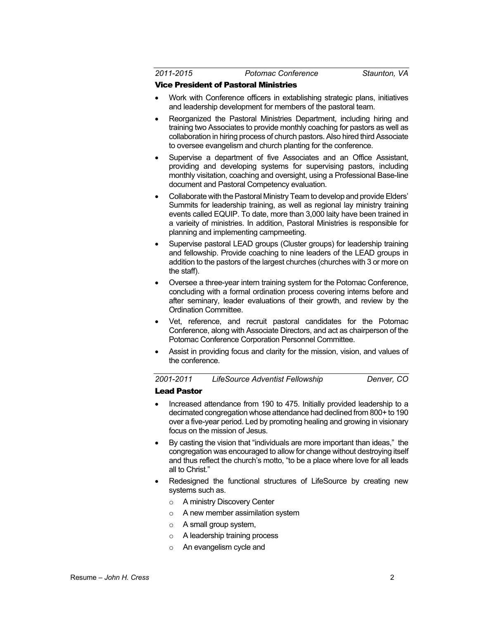*2011-2015 Potomac Conference Staunton, VA*

#### Vice President of Pastoral Ministries

- Work with Conference officers in extablishing strategic plans, initiatives and leadership development for members of the pastoral team.
- Reorganized the Pastoral Ministries Department, including hiring and training two Associates to provide monthly coaching for pastors as well as collaboration in hiring process of church pastors. Also hired third Associate to oversee evangelism and church planting for the conference.
- Supervise a department of five Associates and an Office Assistant, providing and developing systems for supervising pastors, including monthly visitation, coaching and oversight, using a Professional Base-line document and Pastoral Competency evaluation.
- Collaborate with the Pastoral Ministry Team to develop and provide Elders' Summits for leadership training, as well as regional lay ministry training events called EQUIP. To date, more than 3,000 laity have been trained in a varieity of ministries. In addition, Pastoral Ministries is responsible for planning and implementing campmeeting.
- Supervise pastoral LEAD groups (Cluster groups) for leadership training and fellowship. Provide coaching to nine leaders of the LEAD groups in addition to the pastors of the largest churches (churches with 3 or more on the staff).
- Oversee a three-year intern training system for the Potomac Conference, concluding with a formal ordination process covering interns before and after seminary, leader evaluations of their growth, and review by the Ordination Committee.
- Vet, reference, and recruit pastoral candidates for the Potomac Conference, along with Associate Directors, and act as chairperson of the Potomac Conference Corporation Personnel Committee.
- Assist in providing focus and clarity for the mission, vision, and values of the conference.

*2001-2011 LifeSource Adventist Fellowship Denver, CO*

#### Lead Pastor

- Increased attendance from 190 to 475. Initially provided leadership to a decimated congregation whose attendance had declined from 800+ to 190 over a five-year period. Led by promoting healing and growing in visionary focus on the mission of Jesus.
- By casting the vision that "individuals are more important than ideas," the congregation was encouraged to allow for change without destroying itself and thus reflect the church's motto, "to be a place where love for all leads all to Christ."
- Redesigned the functional structures of LifeSource by creating new systems such as.
	- o A ministry Discovery Center
	- o A new member assimilation system
	- o A small group system,
	- o A leadership training process
	- o An evangelism cycle and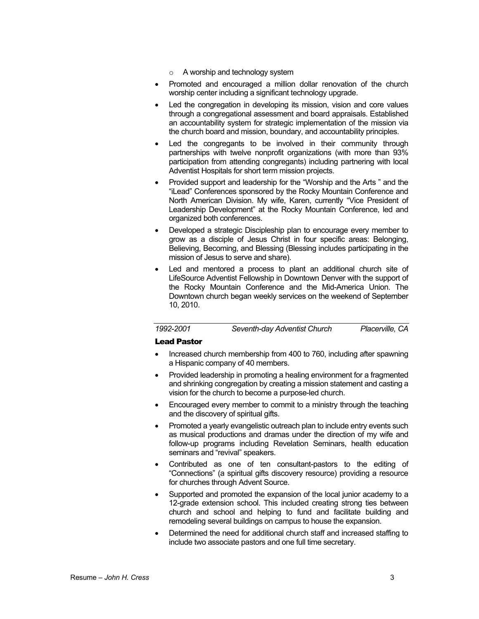- o A worship and technology system
- Promoted and encouraged a million dollar renovation of the church worship center including a significant technology upgrade.
- Led the congregation in developing its mission, vision and core values through a congregational assessment and board appraisals. Established an accountability system for strategic implementation of the mission via the church board and mission, boundary, and accountability principles.
- Led the congregants to be involved in their community through partnerships with twelve nonprofit organizations (with more than 93% participation from attending congregants) including partnering with local Adventist Hospitals for short term mission projects.
- Provided support and leadership for the "Worship and the Arts " and the "iLead" Conferences sponsored by the Rocky Mountain Conference and North American Division. My wife, Karen, currently "Vice President of Leadership Development" at the Rocky Mountain Conference, led and organized both conferences.
- Developed a strategic Discipleship plan to encourage every member to grow as a disciple of Jesus Christ in four specific areas: Belonging, Believing, Becoming, and Blessing (Blessing includes participating in the mission of Jesus to serve and share).
- Led and mentored a process to plant an additional church site of LifeSource Adventist Fellowship in Downtown Denver with the support of the Rocky Mountain Conference and the Mid-America Union. The Downtown church began weekly services on the weekend of September 10, 2010.

| 1992-2001 | Seventh-day Adventist Church |  |
|-----------|------------------------------|--|
|-----------|------------------------------|--|

#### Lead Pastor

- Increased church membership from 400 to 760, including after spawning a Hispanic company of 40 members.
- Provided leadership in promoting a healing environment for a fragmented and shrinking congregation by creating a mission statement and casting a vision for the church to become a purpose-led church.
- Encouraged every member to commit to a ministry through the teaching and the discovery of spiritual gifts.
- Promoted a yearly evangelistic outreach plan to include entry events such as musical productions and dramas under the direction of my wife and follow-up programs including Revelation Seminars, health education seminars and "revival" speakers.
- Contributed as one of ten consultant-pastors to the editing of "Connections" (a spiritual gifts discovery resource) providing a resource for churches through Advent Source.
- Supported and promoted the expansion of the local junior academy to a 12-grade extension school. This included creating strong ties between church and school and helping to fund and facilitate building and remodeling several buildings on campus to house the expansion.
- Determined the need for additional church staff and increased staffing to include two associate pastors and one full time secretary.

*1992-2001 Seventh-day Adventist Church Placerville, CA*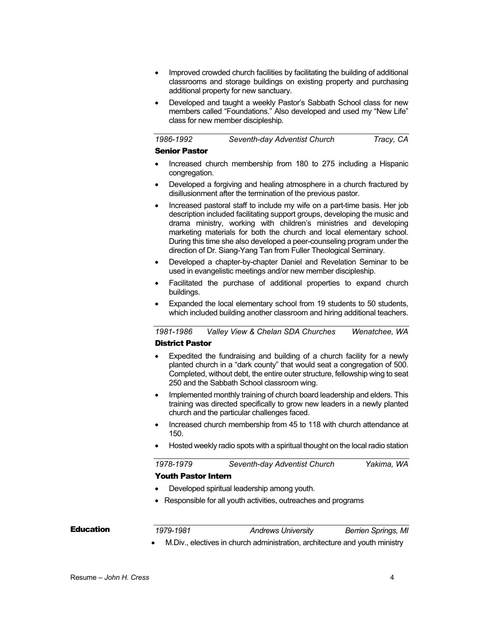- Improved crowded church facilities by facilitating the building of additional classrooms and storage buildings on existing property and purchasing additional property for new sanctuary.
- Developed and taught a weekly Pastor's Sabbath School class for new members called "Foundations." Also developed and used my "New Life" class for new member discipleship.

| 1986-1992 | Seventh-day Adventist Church | Tracy, CA |
|-----------|------------------------------|-----------|
|-----------|------------------------------|-----------|

#### Senior Pastor

- Increased church membership from 180 to 275 including a Hispanic congregation.
- Developed a forgiving and healing atmosphere in a church fractured by disillusionment after the termination of the previous pastor.
- Increased pastoral staff to include my wife on a part-time basis. Her job description included facilitating support groups, developing the music and drama ministry, working with children's ministries and developing marketing materials for both the church and local elementary school. During this time she also developed a peer-counseling program under the direction of Dr. Siang-Yang Tan from Fuller Theological Seminary.
- Developed a chapter-by-chapter Daniel and Revelation Seminar to be used in evangelistic meetings and/or new member discipleship.
- Facilitated the purchase of additional properties to expand church buildings.
- Expanded the local elementary school from 19 students to 50 students, which included building another classroom and hiring additional teachers.

*1981-1986 Valley View & Chelan SDA Churches Wenatchee, WA*

# District Pastor

- Expedited the fundraising and building of a church facility for a newly planted church in a "dark county" that would seat a congregation of 500. Completed, without debt, the entire outer structure, fellowship wing to seat 250 and the Sabbath School classroom wing.
- Implemented monthly training of church board leadership and elders. This training was directed specifically to grow new leaders in a newly planted church and the particular challenges faced.
- Increased church membership from 45 to 118 with church attendance at 150.
- Hosted weekly radio spots with a spiritual thought on the local radio station

# *1978-1979 Seventh-day Adventist Church Yakima, WA* Youth Pastor Intern

- Developed spiritual leadership among youth.
- Responsible for all youth activities, outreaches and programs

### **Education**

*1979-1981 Andrews University Berrien Springs, MI*

• M.Div., electives in church administration, architecture and youth ministry